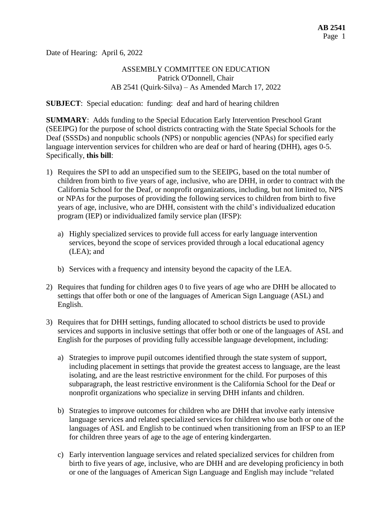Date of Hearing: April 6, 2022

# ASSEMBLY COMMITTEE ON EDUCATION Patrick O'Donnell, Chair AB 2541 (Quirk-Silva) – As Amended March 17, 2022

**SUBJECT**: Special education: funding: deaf and hard of hearing children

**SUMMARY**: Adds funding to the Special Education Early Intervention Preschool Grant (SEEIPG) for the purpose of school districts contracting with the State Special Schools for the Deaf (SSSDs) and nonpublic schools (NPS) or nonpublic agencies (NPAs) for specified early language intervention services for children who are deaf or hard of hearing (DHH), ages 0-5. Specifically, **this bill**:

- 1) Requires the SPI to add an unspecified sum to the SEEIPG, based on the total number of children from birth to five years of age, inclusive, who are DHH, in order to contract with the California School for the Deaf, or nonprofit organizations, including, but not limited to, NPS or NPAs for the purposes of providing the following services to children from birth to five years of age, inclusive, who are DHH, consistent with the child's individualized education program (IEP) or individualized family service plan (IFSP):
	- a) Highly specialized services to provide full access for early language intervention services, beyond the scope of services provided through a local educational agency (LEA); and
	- b) Services with a frequency and intensity beyond the capacity of the LEA.
- 2) Requires that funding for children ages 0 to five years of age who are DHH be allocated to settings that offer both or one of the languages of American Sign Language (ASL) and English.
- 3) Requires that for DHH settings, funding allocated to school districts be used to provide services and supports in inclusive settings that offer both or one of the languages of ASL and English for the purposes of providing fully accessible language development, including:
	- a) Strategies to improve pupil outcomes identified through the state system of support, including placement in settings that provide the greatest access to language, are the least isolating, and are the least restrictive environment for the child. For purposes of this subparagraph, the least restrictive environment is the California School for the Deaf or nonprofit organizations who specialize in serving DHH infants and children.
	- b) Strategies to improve outcomes for children who are DHH that involve early intensive language services and related specialized services for children who use both or one of the languages of ASL and English to be continued when transitioning from an IFSP to an IEP for children three years of age to the age of entering kindergarten.
	- c) Early intervention language services and related specialized services for children from birth to five years of age, inclusive, who are DHH and are developing proficiency in both or one of the languages of American Sign Language and English may include "related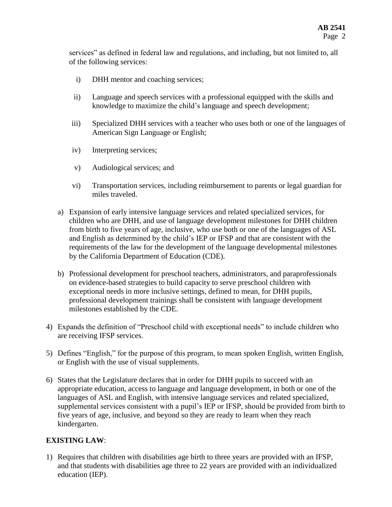services" as defined in federal law and regulations, and including, but not limited to, all of the following services:

- i) DHH mentor and coaching services;
- ii) Language and speech services with a professional equipped with the skills and knowledge to maximize the child's language and speech development;
- iii) Specialized DHH services with a teacher who uses both or one of the languages of American Sign Language or English;
- iv) Interpreting services;
- v) Audiological services; and
- vi) Transportation services, including reimbursement to parents or legal guardian for miles traveled.
- a) Expansion of early intensive language services and related specialized services, for children who are DHH, and use of language development milestones for DHH children from birth to five years of age, inclusive, who use both or one of the languages of ASL and English as determined by the child's IEP or IFSP and that are consistent with the requirements of the law for the development of the language developmental milestones by the California Department of Education (CDE).
- b) Professional development for preschool teachers, administrators, and paraprofessionals on evidence-based strategies to build capacity to serve preschool children with exceptional needs in more inclusive settings, defined to mean, for DHH pupils, professional development trainings shall be consistent with language development milestones established by the CDE.
- 4) Expands the definition of "Preschool child with exceptional needs" to include children who are receiving IFSP services.
- 5) Defines "English," for the purpose of this program, to mean spoken English, written English, or English with the use of visual supplements.
- 6) States that the Legislature declares that in order for DHH pupils to succeed with an appropriate education, access to language and language development, in both or one of the languages of ASL and English, with intensive language services and related specialized, supplemental services consistent with a pupil's IEP or IFSP, should be provided from birth to five years of age, inclusive, and beyond so they are ready to learn when they reach kindergarten.

# **EXISTING LAW**:

1) Requires that children with disabilities age birth to three years are provided with an IFSP, and that students with disabilities age three to 22 years are provided with an individualized education (IEP).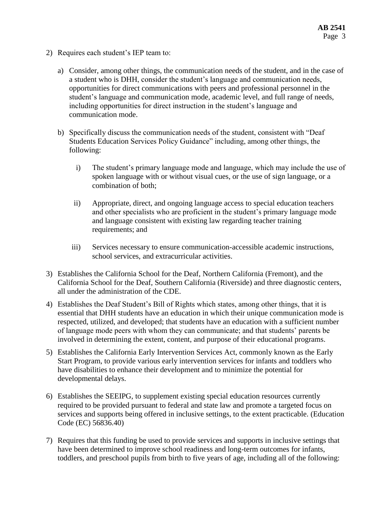- 2) Requires each student's IEP team to:
	- a) Consider, among other things, the communication needs of the student, and in the case of a student who is DHH, consider the student's language and communication needs, opportunities for direct communications with peers and professional personnel in the student's language and communication mode, academic level, and full range of needs, including opportunities for direct instruction in the student's language and communication mode.
	- b) Specifically discuss the communication needs of the student, consistent with "Deaf Students Education Services Policy Guidance" including, among other things, the following:
		- i) The student's primary language mode and language, which may include the use of spoken language with or without visual cues, or the use of sign language, or a combination of both;
		- ii) Appropriate, direct, and ongoing language access to special education teachers and other specialists who are proficient in the student's primary language mode and language consistent with existing law regarding teacher training requirements; and
		- iii) Services necessary to ensure communication-accessible academic instructions, school services, and extracurricular activities.
- 3) Establishes the California School for the Deaf, Northern California (Fremont), and the California School for the Deaf, Southern California (Riverside) and three diagnostic centers, all under the administration of the CDE.
- 4) Establishes the Deaf Student's Bill of Rights which states, among other things, that it is essential that DHH students have an education in which their unique communication mode is respected, utilized, and developed; that students have an education with a sufficient number of language mode peers with whom they can communicate; and that students' parents be involved in determining the extent, content, and purpose of their educational programs.
- 5) Establishes the California Early Intervention Services Act, commonly known as the Early Start Program, to provide various early intervention services for infants and toddlers who have disabilities to enhance their development and to minimize the potential for developmental delays.
- 6) Establishes the SEEIPG, to supplement existing special education resources currently required to be provided pursuant to federal and state law and promote a targeted focus on services and supports being offered in inclusive settings, to the extent practicable. (Education Code (EC) 56836.40)
- 7) Requires that this funding be used to provide services and supports in inclusive settings that have been determined to improve school readiness and long-term outcomes for infants, toddlers, and preschool pupils from birth to five years of age, including all of the following: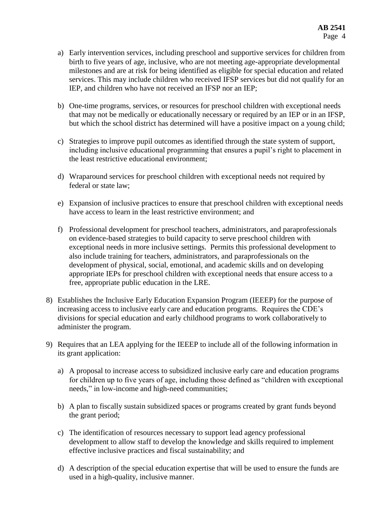- a) Early intervention services, including preschool and supportive services for children from birth to five years of age, inclusive, who are not meeting age-appropriate developmental milestones and are at risk for being identified as eligible for special education and related services. This may include children who received IFSP services but did not qualify for an IEP, and children who have not received an IFSP nor an IEP;
- b) One-time programs, services, or resources for preschool children with exceptional needs that may not be medically or educationally necessary or required by an IEP or in an IFSP, but which the school district has determined will have a positive impact on a young child;
- c) Strategies to improve pupil outcomes as identified through the state system of support, including inclusive educational programming that ensures a pupil's right to placement in the least restrictive educational environment;
- d) Wraparound services for preschool children with exceptional needs not required by federal or state law;
- e) Expansion of inclusive practices to ensure that preschool children with exceptional needs have access to learn in the least restrictive environment; and
- f) Professional development for preschool teachers, administrators, and paraprofessionals on evidence-based strategies to build capacity to serve preschool children with exceptional needs in more inclusive settings. Permits this professional development to also include training for teachers, administrators, and paraprofessionals on the development of physical, social, emotional, and academic skills and on developing appropriate IEPs for preschool children with exceptional needs that ensure access to a free, appropriate public education in the LRE.
- 8) Establishes the Inclusive Early Education Expansion Program (IEEEP) for the purpose of increasing access to inclusive early care and education programs. Requires the CDE's divisions for special education and early childhood programs to work collaboratively to administer the program.
- 9) Requires that an LEA applying for the IEEEP to include all of the following information in its grant application:
	- a) A proposal to increase access to subsidized inclusive early care and education programs for children up to five years of age, including those defined as "children with exceptional needs," in low-income and high-need communities;
	- b) A plan to fiscally sustain subsidized spaces or programs created by grant funds beyond the grant period;
	- c) The identification of resources necessary to support lead agency professional development to allow staff to develop the knowledge and skills required to implement effective inclusive practices and fiscal sustainability; and
	- d) A description of the special education expertise that will be used to ensure the funds are used in a high-quality, inclusive manner.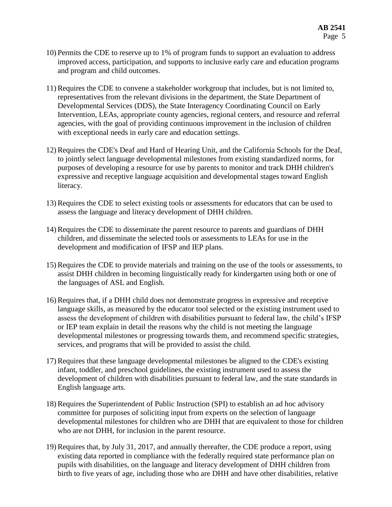- 10) Permits the CDE to reserve up to 1% of program funds to support an evaluation to address improved access, participation, and supports to inclusive early care and education programs and program and child outcomes.
- 11) Requires the CDE to convene a stakeholder workgroup that includes, but is not limited to, representatives from the relevant divisions in the department, the State Department of Developmental Services (DDS), the State Interagency Coordinating Council on Early Intervention, LEAs, appropriate county agencies, regional centers, and resource and referral agencies, with the goal of providing continuous improvement in the inclusion of children with exceptional needs in early care and education settings.
- 12) Requires the CDE's Deaf and Hard of Hearing Unit, and the California Schools for the Deaf, to jointly select language developmental milestones from existing standardized norms, for purposes of developing a resource for use by parents to monitor and track DHH children's expressive and receptive language acquisition and developmental stages toward English literacy.
- 13) Requires the CDE to select existing tools or assessments for educators that can be used to assess the language and literacy development of DHH children.
- 14) Requires the CDE to disseminate the parent resource to parents and guardians of DHH children, and disseminate the selected tools or assessments to LEAs for use in the development and modification of IFSP and IEP plans.
- 15) Requires the CDE to provide materials and training on the use of the tools or assessments, to assist DHH children in becoming linguistically ready for kindergarten using both or one of the languages of ASL and English.
- 16) Requires that, if a DHH child does not demonstrate progress in expressive and receptive language skills, as measured by the educator tool selected or the existing instrument used to assess the development of children with disabilities pursuant to federal law, the child's IFSP or IEP team explain in detail the reasons why the child is not meeting the language developmental milestones or progressing towards them, and recommend specific strategies, services, and programs that will be provided to assist the child.
- 17) Requires that these language developmental milestones be aligned to the CDE's existing infant, toddler, and preschool guidelines, the existing instrument used to assess the development of children with disabilities pursuant to federal law, and the state standards in English language arts.
- 18) Requires the Superintendent of Public Instruction (SPI) to establish an ad hoc advisory committee for purposes of soliciting input from experts on the selection of language developmental milestones for children who are DHH that are equivalent to those for children who are not DHH, for inclusion in the parent resource.
- 19) Requires that, by July 31, 2017, and annually thereafter, the CDE produce a report, using existing data reported in compliance with the federally required state performance plan on pupils with disabilities, on the language and literacy development of DHH children from birth to five years of age, including those who are DHH and have other disabilities, relative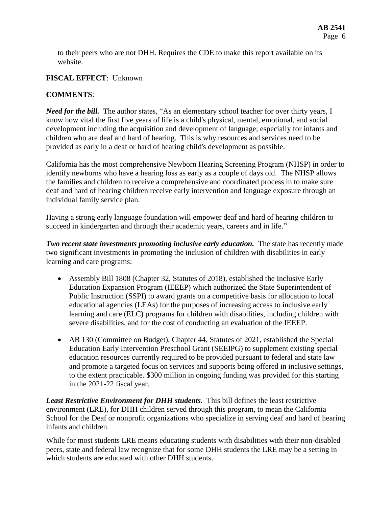to their peers who are not DHH. Requires the CDE to make this report available on its website.

### **FISCAL EFFECT**: Unknown

### **COMMENTS**:

*Need for the bill.* The author states, "As an elementary school teacher for over thirty years, I know how vital the first five years of life is a child's physical, mental, emotional, and social development including the acquisition and development of language; especially for infants and children who are deaf and hard of hearing. This is why resources and services need to be provided as early in a deaf or hard of hearing child's development as possible.

California has the most comprehensive Newborn Hearing Screening Program (NHSP) in order to identify newborns who have a hearing loss as early as a couple of days old. The NHSP allows the families and children to receive a comprehensive and coordinated process in to make sure deaf and hard of hearing children receive early intervention and language exposure through an individual family service plan.

Having a strong early language foundation will empower deaf and hard of hearing children to succeed in kindergarten and through their academic years, careers and in life."

*Two recent state investments promoting inclusive early education.* The state has recently made two significant investments in promoting the inclusion of children with disabilities in early learning and care programs:

- Assembly Bill 1808 (Chapter 32, Statutes of 2018), established the Inclusive Early Education Expansion Program (IEEEP) which authorized the State Superintendent of Public Instruction (SSPI) to award grants on a competitive basis for allocation to local educational agencies (LEAs) for the purposes of increasing access to inclusive early learning and care (ELC) programs for children with disabilities, including children with severe disabilities, and for the cost of conducting an evaluation of the IEEEP.
- AB 130 (Committee on Budget), Chapter 44, Statutes of 2021, established the Special Education Early Intervention Preschool Grant (SEEIPG) to supplement existing special education resources currently required to be provided pursuant to federal and state law and promote a targeted focus on services and supports being offered in inclusive settings, to the extent practicable. \$300 million in ongoing funding was provided for this starting in the 2021-22 fiscal year.

*Least Restrictive Environment for DHH students.* This bill defines the least restrictive environment (LRE), for DHH children served through this program, to mean the California School for the Deaf or nonprofit organizations who specialize in serving deaf and hard of hearing infants and children.

While for most students LRE means educating students with disabilities with their non-disabled peers, state and federal law recognize that for some DHH students the LRE may be a setting in which students are educated with other DHH students.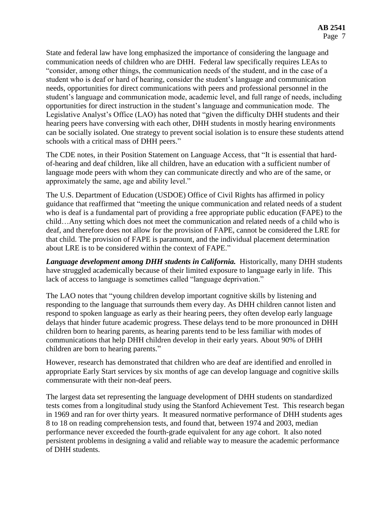State and federal law have long emphasized the importance of considering the language and communication needs of children who are DHH. Federal law specifically requires LEAs to "consider, among other things, the communication needs of the student, and in the case of a student who is deaf or hard of hearing, consider the student's language and communication needs, opportunities for direct communications with peers and professional personnel in the student's language and communication mode, academic level, and full range of needs, including opportunities for direct instruction in the student's language and communication mode. The Legislative Analyst's Office (LAO) has noted that "given the difficulty DHH students and their hearing peers have conversing with each other, DHH students in mostly hearing environments can be socially isolated. One strategy to prevent social isolation is to ensure these students attend schools with a critical mass of DHH peers."

The CDE notes, in their Position Statement on Language Access, that "It is essential that hardof-hearing and deaf children, like all children, have an education with a sufficient number of language mode peers with whom they can communicate directly and who are of the same, or approximately the same, age and ability level."

The U.S. Department of Education (USDOE) Office of Civil Rights has affirmed in policy guidance that reaffirmed that "meeting the unique communication and related needs of a student who is deaf is a fundamental part of providing a free appropriate public education (FAPE) to the child…Any setting which does not meet the communication and related needs of a child who is deaf, and therefore does not allow for the provision of FAPE, cannot be considered the LRE for that child. The provision of FAPE is paramount, and the individual placement determination about LRE is to be considered within the context of FAPE."

*Language development among DHH students in California.* Historically, many DHH students have struggled academically because of their limited exposure to language early in life. This lack of access to language is sometimes called "language deprivation."

The LAO notes that "young children develop important cognitive skills by listening and responding to the language that surrounds them every day. As DHH children cannot listen and respond to spoken language as early as their hearing peers, they often develop early language delays that hinder future academic progress. These delays tend to be more pronounced in DHH children born to hearing parents, as hearing parents tend to be less familiar with modes of communications that help DHH children develop in their early years. About 90% of DHH children are born to hearing parents."

However, research has demonstrated that children who are deaf are identified and enrolled in appropriate Early Start services by six months of age can develop language and cognitive skills commensurate with their non-deaf peers.

The largest data set representing the language development of DHH students on standardized tests comes from a longitudinal study using the Stanford Achievement Test. This research began in 1969 and ran for over thirty years. It measured normative performance of DHH students ages 8 to 18 on reading comprehension tests, and found that, between 1974 and 2003, median performance never exceeded the fourth-grade equivalent for any age cohort. It also noted persistent problems in designing a valid and reliable way to measure the academic performance of DHH students.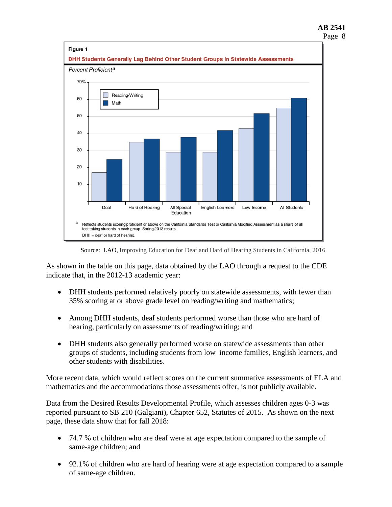#### **AB 2541** Page 8



Source: LAO, Improving Education for Deaf and Hard of Hearing Students in California, 2016

As shown in the table on this page, data obtained by the LAO through a request to the CDE indicate that, in the 2012-13 academic year:

- DHH students performed relatively poorly on statewide assessments, with fewer than 35% scoring at or above grade level on reading/writing and mathematics;
- Among DHH students, deaf students performed worse than those who are hard of hearing, particularly on assessments of reading/writing; and
- DHH students also generally performed worse on statewide assessments than other groups of students, including students from low–income families, English learners, and other students with disabilities.

More recent data, which would reflect scores on the current summative assessments of ELA and mathematics and the accommodations those assessments offer, is not publicly available.

Data from the Desired Results Developmental Profile, which assesses children ages 0-3 was reported pursuant to SB 210 (Galgiani), Chapter 652, Statutes of 2015. As shown on the next page, these data show that for fall 2018:

- 74.7 % of children who are deaf were at age expectation compared to the sample of same-age children; and
- 92.1% of children who are hard of hearing were at age expectation compared to a sample of same-age children.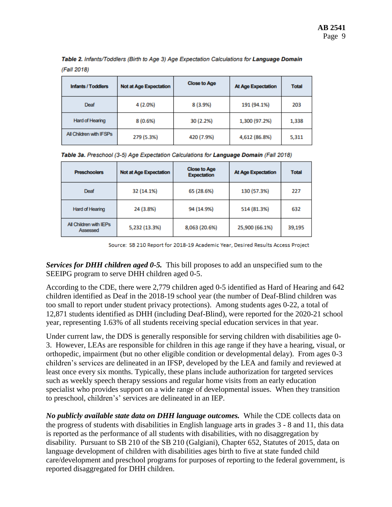| <b>Infants / Toddlers</b> | <b>Not at Age Expectation</b> | <b>Close to Age</b> | <b>At Age Expectation</b> | Total |
|---------------------------|-------------------------------|---------------------|---------------------------|-------|
| Deaf                      | 4 (2.0%)                      | 8 (3.9%)            | 191 (94.1%)               | 203   |
| Hard of Hearing           | 8(0.6%)                       | 30 (2.2%)           | 1,300 (97.2%)             | 1,338 |
| All Children with IFSPs   | 279 (5.3%)                    | 420 (7.9%)          | 4,612 (86.8%)             | 5,311 |

Table 2. Infants/Toddlers (Birth to Age 3) Age Expectation Calculations for Language Domain (Fall 2018)

|  |  | Table 3a. Preschool (3-5) Age Expectation Calculations for Language Domain (Fall 2018) |  |  |
|--|--|----------------------------------------------------------------------------------------|--|--|
|  |  |                                                                                        |  |  |

| <b>Preschoolers</b>                | <b>Not at Age Expectation</b> | <b>Close to Age</b><br><b>Expectation</b> | <b>At Age Expectation</b> | <b>Total</b> |
|------------------------------------|-------------------------------|-------------------------------------------|---------------------------|--------------|
| Deaf                               | 32 (14.1%)                    | 65 (28.6%)                                | 130 (57.3%)               | 227          |
| Hard of Hearing                    | 24 (3.8%)                     | 94 (14.9%)                                | 514 (81.3%)               | 632          |
| All Children with IEPs<br>Assessed | 5,232 (13.3%)                 | 8,063 (20.6%)                             | 25,900 (66.1%)            | 39,195       |

Source: SB 210 Report for 2018-19 Academic Year, Desired Results Access Project

*Services for DHH children aged 0-5.* This bill proposes to add an unspecified sum to the SEEIPG program to serve DHH children aged 0-5.

According to the CDE, there were 2,779 children aged 0-5 identified as Hard of Hearing and 642 children identified as Deaf in the 2018-19 school year (the number of Deaf-Blind children was too small to report under student privacy protections). Among students ages 0-22, a total of 12,871 students identified as DHH (including Deaf-Blind), were reported for the 2020-21 school year, representing 1.63% of all students receiving special education services in that year.

Under current law, the DDS is generally responsible for serving children with disabilities age 0- 3. However, LEAs are responsible for children in this age range if they have a hearing, visual, or orthopedic, impairment (but no other eligible condition or developmental delay). From ages 0-3 children's services are delineated in an IFSP, developed by the LEA and family and reviewed at least once every six months. Typically, these plans include authorization for targeted services such as weekly speech therapy sessions and regular home visits from an early education specialist who provides support on a wide range of developmental issues. When they transition to preschool, children's' services are delineated in an IEP.

*No publicly available state data on DHH language outcomes.* While the CDE collects data on the progress of students with disabilities in English language arts in grades 3 - 8 and 11, this data is reported as the performance of all students with disabilities, with no disaggregation by disability. Pursuant to SB 210 of the SB 210 (Galgiani), Chapter 652, Statutes of 2015, data on language development of children with disabilities ages birth to five at state funded child care/development and preschool programs for purposes of reporting to the federal government, is reported disaggregated for DHH children.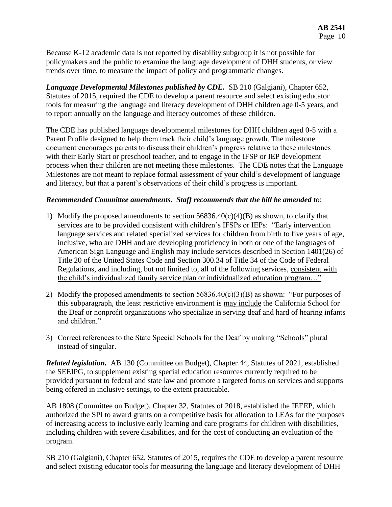Because K-12 academic data is not reported by disability subgroup it is not possible for policymakers and the public to examine the language development of DHH students, or view trends over time, to measure the impact of policy and programmatic changes.

*Language Developmental Milestones published by CDE.* SB 210 (Galgiani), Chapter 652, Statutes of 2015, required the CDE to develop a parent resource and select existing educator tools for measuring the language and literacy development of DHH children age 0-5 years, and to report annually on the language and literacy outcomes of these children.

The CDE has published language developmental milestones for DHH children aged 0-5 with a Parent Profile designed to help them track their child's language growth. The milestone document encourages parents to discuss their children's progress relative to these milestones with their Early Start or preschool teacher, and to engage in the IFSP or IEP development process when their children are not meeting these milestones. The CDE notes that the Language Milestones are not meant to replace formal assessment of your child's development of language and literacy, but that a parent's observations of their child's progress is important.

## *Recommended Committee amendments. Staff recommends that the bill be amended* to:

- 1) Modify the proposed amendments to section  $56836.40(c)(4)(B)$  as shown, to clarify that services are to be provided consistent with children's IFSPs or IEPs: "Early intervention language services and related specialized services for children from birth to five years of age, inclusive, who are DHH and are developing proficiency in both or one of the languages of American Sign Language and English may include services described in Section 1401(26) of Title 20 of the United States Code and Section 300.34 of Title 34 of the Code of Federal Regulations, and including, but not limited to, all of the following services, consistent with the child's individualized family service plan or individualized education program…"
- 2) Modify the proposed amendments to section  $56836.40(c)(3)(B)$  as shown: "For purposes of this subparagraph, the least restrictive environment is may include the California School for the Deaf or nonprofit organizations who specialize in serving deaf and hard of hearing infants and children."
- 3) Correct references to the State Special Schools for the Deaf by making "Schools" plural instead of singular.

*Related legislation.* AB 130 (Committee on Budget), Chapter 44, Statutes of 2021, established the SEEIPG, to supplement existing special education resources currently required to be provided pursuant to federal and state law and promote a targeted focus on services and supports being offered in inclusive settings, to the extent practicable.

AB 1808 (Committee on Budget), Chapter 32, Statutes of 2018, established the IEEEP, which authorized the SPI to award grants on a competitive basis for allocation to LEAs for the purposes of increasing access to inclusive early learning and care programs for children with disabilities, including children with severe disabilities, and for the cost of conducting an evaluation of the program.

SB 210 (Galgiani), Chapter 652, Statutes of 2015, requires the CDE to develop a parent resource and select existing educator tools for measuring the language and literacy development of DHH